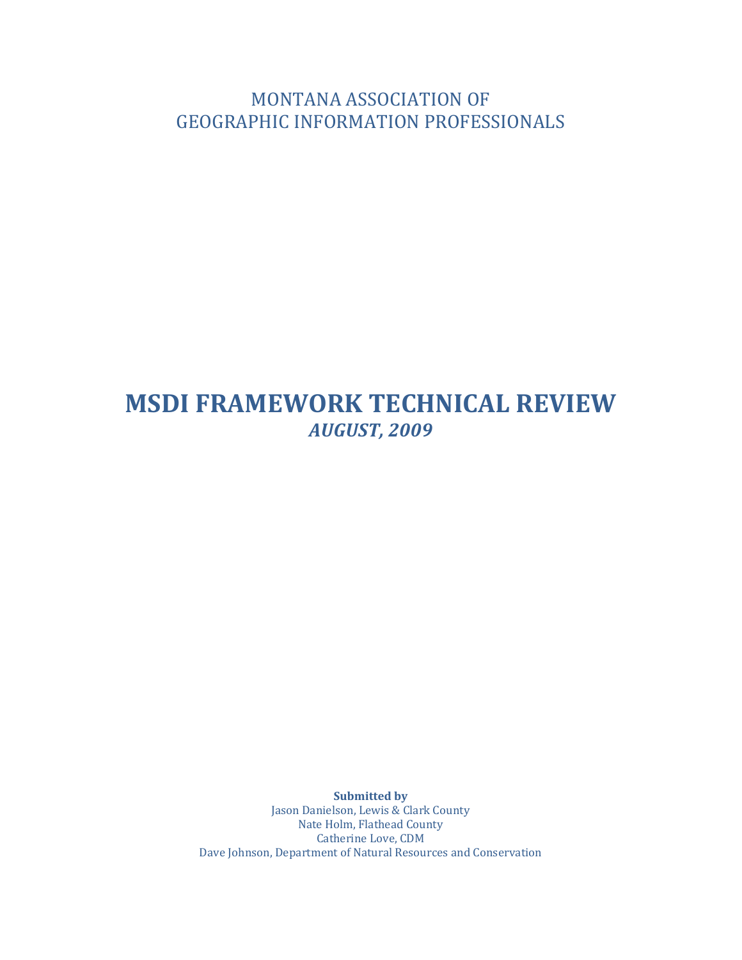MONTANA ASSOCIATION OF **GEOGRAPHIC INFORMATION PROFESSIONALS** 

# **MSDI FRAMEWORK TECHNICAL REVIEW** *AUGUST, 2009*

**Submitted by** Jason Danielson, Lewis & Clark County Nate Holm, Flathead County Catherine Love, CDM Dave Johnson, Department of Natural Resources and Conservation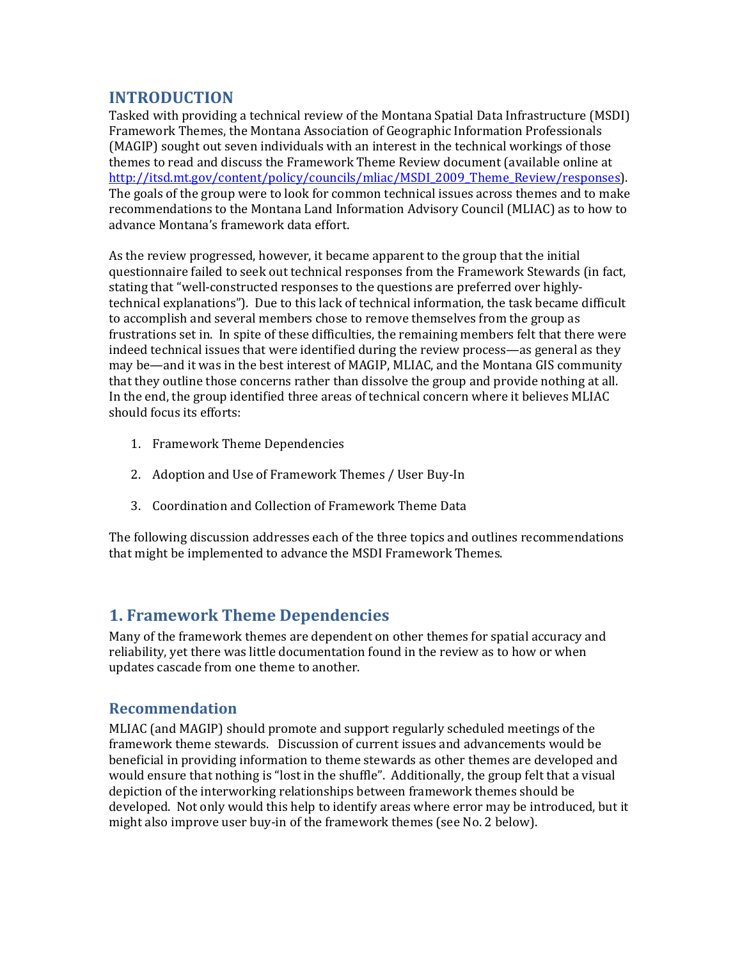## **INTRODUCTION**

Tasked with providing a technical review of the Montana Spatial Data Infrastructure (MSDI) Framework Themes, the Montana Association of Geographic Information Professionals (MAGIP) sought out seven individuals with an interest in the technical workings of those themes to read and discuss the Framework Theme Review document (available online at http://itsd.mt.gov/content/policy/councils/mliac/MSDI\_2009\_Theme\_Review/responses). The goals of the group were to look for common technical issues across themes and to make recommendations to the Montana Land Information Advisory Council (MLIAC) as to how to advance Montana's framework data effort.

As the review progressed, however, it became apparent to the group that the initial questionnaire failed to seek out technical responses from the Framework Stewards (in fact, stating that "well-constructed responses to the questions are preferred over highlytechnical explanations"). Due to this lack of technical information, the task became difficult to accomplish and several members chose to remove themselves from the group as frustrations set in. In spite of these difficulties, the remaining members felt that there were indeed technical issues that were identified during the review process—as general as they may be—and it was in the best interest of MAGIP, MLIAC, and the Montana GIS community that they outline those concerns rather than dissolve the group and provide nothing at all. In the end, the group identified three areas of technical concern where it believes MLIAC should focus its efforts:

- 1. Framework Theme Dependencies
- 2. Adoption and Use of Framework Themes / User Buy-In
- 3. Coordination and Collection of Framework Theme Data

The following discussion addresses each of the three topics and outlines recommendations that might be implemented to advance the MSDI Framework Themes.

## **1. Framework Theme Dependencies**

Many of the framework themes are dependent on other themes for spatial accuracy and reliability, yet there was little documentation found in the review as to how or when updates cascade from one theme to another.

### **Recommendation**

MLIAC (and MAGIP) should promote and support regularly scheduled meetings of the framework theme stewards. Discussion of current issues and advancements would be beneficial in providing information to theme stewards as other themes are developed and would ensure that nothing is "lost in the shuffle". Additionally, the group felt that a visual depiction of the interworking relationships between framework themes should be developed. Not only would this help to identify areas where error may be introduced, but it might also improve user buy-in of the framework themes (see No. 2 below).